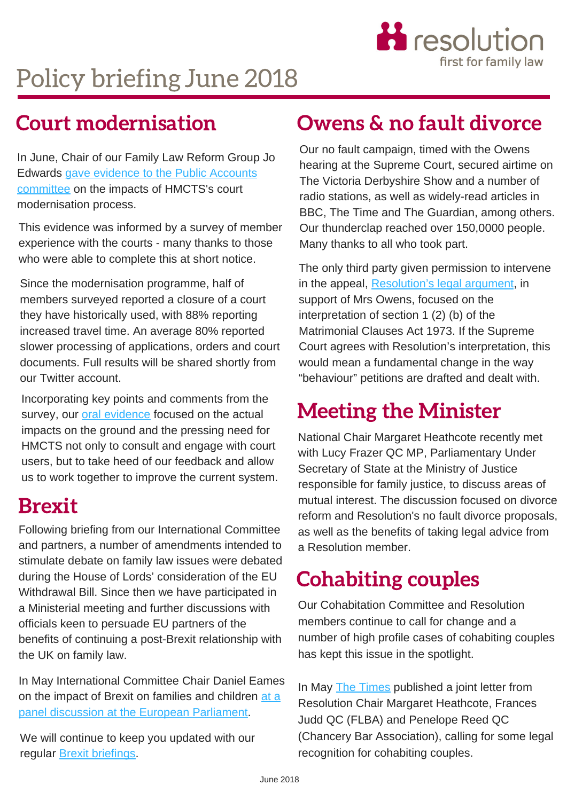

# Policy briefing June 2018

In June, Chair of our Family Law Reform Group Jo Edwards gave evidence to the Public Accounts committee on the impacts of HMCTS's court [modernisation](http://data.parliament.uk/writtenevidence/committeeevidence.svc/evidencedocument/public-accounts-committee/transforming-courts-and-tribunals/written/83877.pdf) process.

This evidence was informed by a survey of member experience with the courts - many thanks to those who were able to complete this at short notice.

Since the modernisation programme, half of members surveyed reported a closure of a court they have historically used, with 88% reporting increased travel time. An average 80% reported slower processing of applications, orders and court documents. Full results will be shared shortly from our Twitter account.

[Incorporating](https://parliamentlive.tv/event/index/9c787849-5fbe-45ea-843a-e58a9ae9b425?in=14:29:44) key points and comments from the survey, our oral evidence focused on the actual impacts on the ground and the pressing need for HMCTS not only to consult and engage with court users, but to take heed of our feedback and allow us to work together to improve the current system.

# Brexit

Following briefing from our International Committee and partners, a number of amendments intended to stimulate debate on family law issues were debated during the House of Lords' consideration of the EU Withdrawal Bill. Since then we have participated in a Ministerial meeting and further discussions with officials keen to persuade EU partners of the benefits of continuing a post-Brexit relationship with the UK on family law.

In May [International](https://www.familylaw.co.uk/news_and_comment/brexit-implications-for-family-law-analysed-in-panel-discussion-at-european-parliament#.WwKdMDQvyUl) Committee Chair Daniel Eames on the impact of Brexit on families and children at a panel discussion at the European Parliament.

We will continue to keep you updated with our regular **Brexit briefings**.

# Court modernisation Owens & no fault divorce

Our no fault campaign, timed with the Owens hearing at the Supreme Court, secured airtime on The Victoria Derbyshire Show and a number of radio stations, as well as widely-read articles in BBC, The Time and The Guardian, among others. Our thunderclap reached over 150,0000 people. Many thanks to all who took part.

The only third party given permission to intervene in the appeal, Resolution's legal argument, in support of Mrs Owens, focused on the interpretation of section 1 (2) (b) of the Matrimonial Clauses Act 1973. If the Supreme Court agrees with Resolution's [interpretation,](https://www.lawyer-monthly.com/2018/05/no-fault-divorce-why-the-owens-v-owens-case-is-so-important/) this would mean a fundamental change in the way "behaviour" petitions are drafted and dealt with.

# Meeting the Minister

National Chair Margaret Heathcote recently met with Lucy Frazer QC MP, Parliamentary Under Secretary of State at the Ministry of Justice responsible for family justice, to discuss areas of mutual interest. The discussion focused on divorce reform and Resolution's no fault divorce proposals, as well as the benefits of taking legal advice from a Resolution member.

# Cohabiting couples

Our Cohabitation Committee and Resolution members continue to call for change and a number of high profile cases of cohabiting couples has kept this issue in the spotlight.

In May **The Times published a joint letter from** Resolution Chair Margaret Heathcote, Frances Judd QC (FLBA) and Penelope Reed QC (Chancery Bar [Association\),](https://www.thetimes.co.uk/article/jacob-rees-mogg-and-his-faith-in-trump-76q6wl6q7) calling for some legal recognition for cohabiting couples.